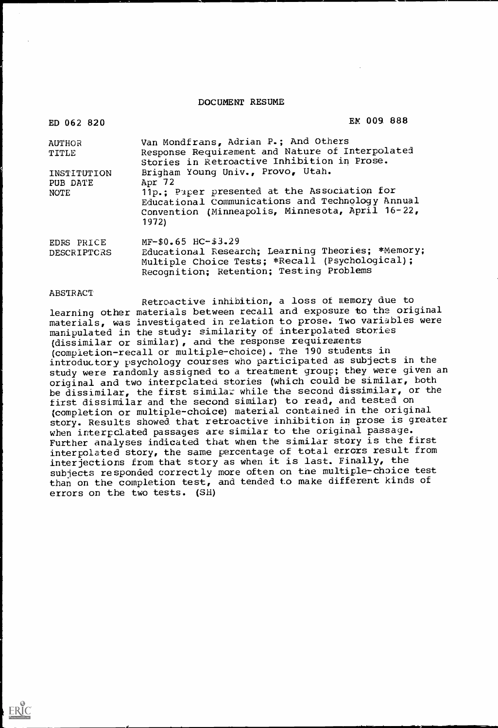DOCUMENT RESUME

| ED 062 820                             | EM 009 888                                                                                                                                                                                                  |
|----------------------------------------|-------------------------------------------------------------------------------------------------------------------------------------------------------------------------------------------------------------|
| <b>AUTHOR</b><br>TITLE                 | Van Mondfrans, Adrian P.; And Others<br>Response Requirement and Nature of Interpolated<br>Stories in Retroactive Inhibition in Prose.                                                                      |
| INSTITUTION<br>PUB DATE<br><b>NOTE</b> | Brigham Young Univ., Provo, Utah.<br>Apr 72<br>11p.; Paper presented at the Association for<br>Educational Communications and Technology Annual<br>Convention (Minneapolis, Minnesota, April 16-22,<br>1972 |
| EDRS PRICE<br>DESCRIPTORS              | $MF-50.65$ HC-\$3.29<br>Educational Research; Learning Theories; *Memory;<br>Multiple Choice Tests; *Recall (Psychological):<br>Recognition; Retention; Testing Problems                                    |

ABSTRACT

Retroactive inhibition, a loss of memory due to learning other materials between recall and exposure to the original materials, was investigated in relation to prose. Two variables were manipulated in the study: similarity of interpolated stories (dissimilar or similar), and the response requirements (compietion-recall or multiple-choice). The 190 students in introductory psychology courses who participated as subjects in the study were randomly assigned to a treatment group; they were given an original and two interpclated stories (which could be similar, both be dissimilar, the first similar while the second dissimilar, or the first dissimilar and the second similar) to read, and tested on (completion or multiple-choice) material contained in the original story. Results showed that retroactive inhibition in prose is greater when interpclated passages are similar to the original passage. Further analyses indicated that when the similar story is the first interpolated story, the same percentage of total errors result from interjections from that story as when it is last. Finally, the subjects responded correctly more often on the multiple-choice test than on the completion test, and tended to make different kinds of errors on the two tests. (SH)

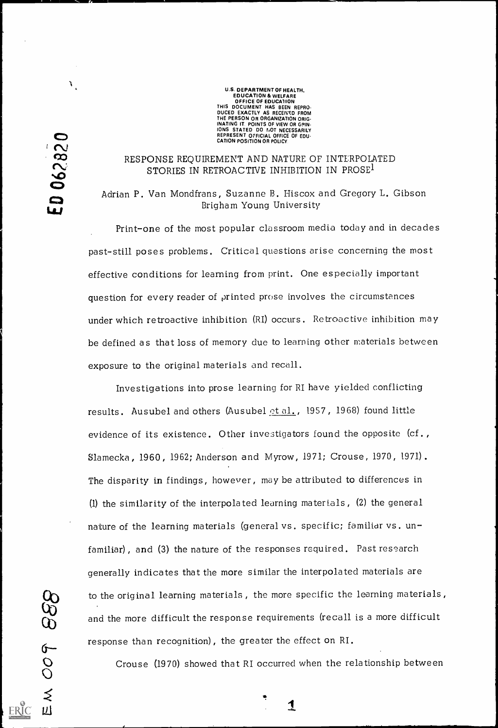U.S. DEPARTMENT OF HEALTH. EDUCATION & WELFARE OFFICE OF EDUCATION THIS DOCUMENT HAS BEEN REPRO-DUCED EXACTLY AS RECEIVED FROM THE PERSON OR ORGANIZATION ORIG-INATING IT. POINTS OF VIEW OR OPIN-IONS STATED DO NOT NECESSARILY REPRESENT OFFICIAL OFFICE OF EDU-CATION POSITION OR POLICY.

### RESPONSE REQUIREMENT AND NATURE OF INTERPOLATED STORIES IN RETROACTIVE INHIBITION IN PROSE<sup>1</sup>

Adrian P. Van Mondfrans, Suzanne B. Hiscox and Gregory L. Gibson Brigham Young University

Investigations into prose learning for RI have yielded conflicting results. Ausubel and others (Ausubel et al., 1957, 1968) found little evidence of its existence. Other investigators found the opposite (cf. , Slamecka, 1960, 1962; Anderson and Myrow, 1971; Crouse, 1970, 1971). The disparity in findings, however, may be attributed to differences in (1) the similarity of the interpolated learning materials, (2) the general nature of the learning materials (general vs. specific; familiar vs. unfamiliar), and (3) the nature of the responses required. Past research

 $\mathbf{F}_{\mathbf{r}}$ 

Print-one of the most popular classroom media today and in decades past-still poses problems. Critical questions arise concerning the most effective conditions for learning from print. One especially important question for every reader of printed prose involves the circumstances under which retroactive inhibition (RI) occurs. Retroactive inhibition may be defined as that loss of memory due to learning other materials between exposure to the original materials and recall.

generally indicates that the more similar the interpolated materials are



to the original learning materials , the more specific the learning materials,

and the more difficult the response requirements (recall is a more difficult

response than recognition), the greater the effect on RI.<br>
O Crouse (1970) showed that RI occurred when the re<br>
S Crouse (1970) showed that RI occurred when the relationship between

1

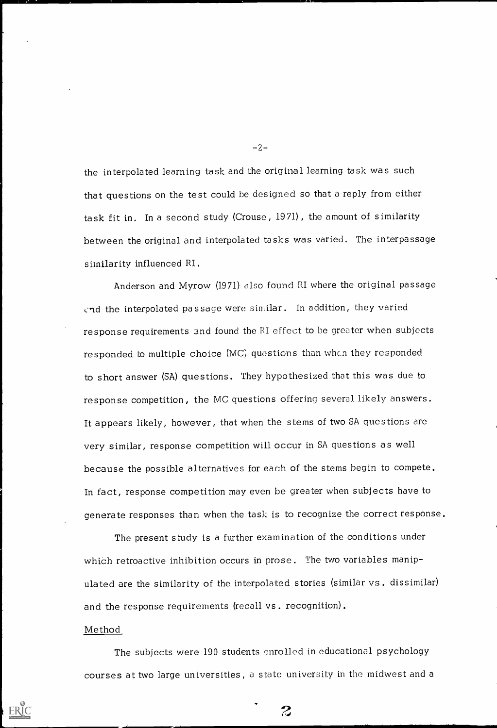the interpolated learning task and the original learning task was such that questions on the test could be designed so that a reply from either task fit in. In a second study (Crouse, 19 71), the amount of similarity between the original and interpolated tasks was varied. The interpassage similarity influenced RI.

Anderson and Myrow (1971) also found RI where the original passage cnd the interpolated passage were similar. In addition, they varied response requirements 3nd found the RI effect to be greater when subjects responded to multiple choice (MC, questions than whcn they responded to short answer (SA) questions. They hypothesized that this was due to response competition, the MC questions offering several likely answers. It appears likely, however, that when the stems of two SA questions are very similar, response competition will occur in SA questions as well because the possible alternatives for each of the stems begin to compete. In fact, response competition may even be greater when subjects have to generate responses than when the tasl: is to recognize the correct response.

The present study is a further examination of the conditions under which retroactive inhibition occurs in prose. The two variables manip-

 $-2-$ 

 $\overline{\phantom{a}}$ 

ulated are the similarity of the interpolated stories (similar vs. dissimilar)

and the response requirements (recall vs. recognition).

Method

The subjects were  $190$  students enrolled in educational psychology

 $\mathcal{Z}$ 

courses at two large universities, a state university in the midwest and a

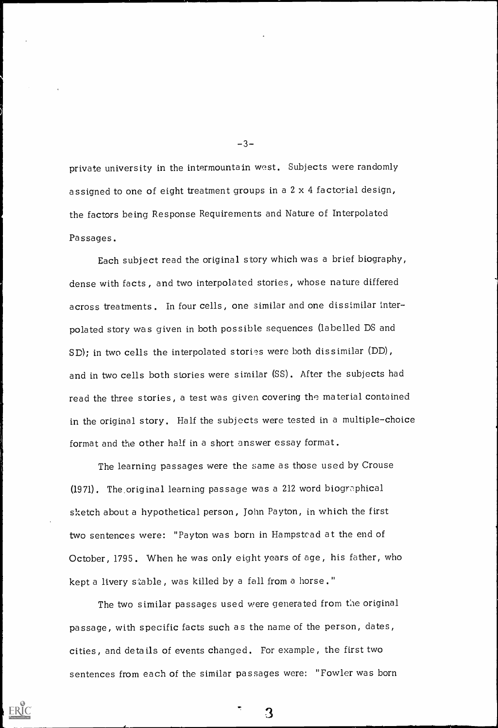private university in the intermountain west. Subjects were randomly assigned to one of eight treatment groups in a 2 x 4 factorial design, the factors being Response Requirements and Nature of Interpolated Passages.

Each subject read the original story which was a brief biography, dense with facts, and two interpolated stories, whose nature differed across treatments. In four cells, one similar and one dissimilar interpolated story was given in both possible sequences (labelled DS and  $SD$ ; in two cells the interpolated stories were both dissimilar (DD), and in two cells both stories were similar (SS). After the subjects had read the three stories, a test was given covering the material contained in the original story. Half the subjects were tested in a multiple-choice format and the other half in a short answer essay format.

The learning passages were the same as those used by Crouse  $(1971)$ . The original learning passage was a 212 word biographical sketch about a hypothetical person, John Payton, in which the first two sentences were: "Payton was born in Hampstead at the end of October, 1795. When he was only eight years of age, his father, who

 $-3-$ 

kept a livery stable, was killed by a fall from a horse."

The two similar passages used were generated from the original

passage, with specific facts such as the name of the person, dates,

cities, and details of events changed. For example, the first two

sentences from each of the similar passages were: "Fowler was born

 $\mathbf{3}$ 

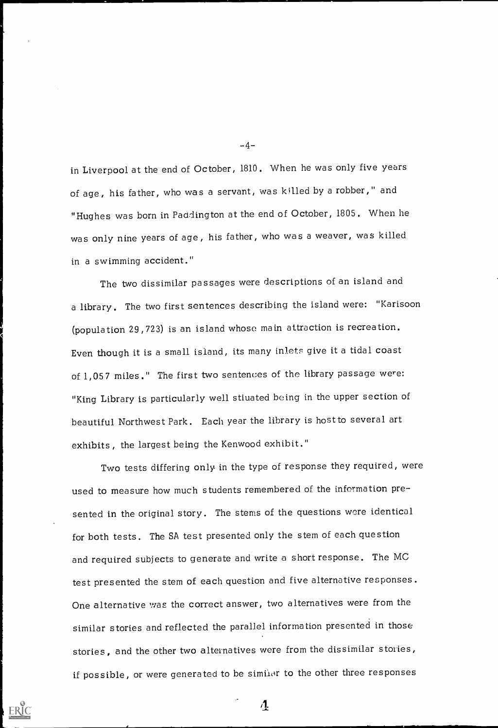in Liverpool at the end of October, 1810. When he was only five years of age, his father, who was a servant, was killed by a robber," and "Hughes was born in Paddington at the end of October, 1805. When he was only nine years of age, his father, who was a weaver, was killed in a swimming accident."

The two dissimilar passages were descriptions of an island and a library. The two first sentences describing the island were: "Karisoon (population 29,723) is an island whose main attraction is recreation. Even though it is a small island, its many inlets give it a tidal coast of 1,057 miles." The first two sentences of the library passage were: "King Library is particularly well stivated being in the upper section of beautiful Northwest Park. Each year the library is host to several art exhibits, the largest being the Kenwood exhibit."

Two tests differing only in the type of response they required, were used to measure how much students remembered of the information presented in the original story. The stems of the questions were identical for both tests. The SA test presented only the stem of each question and required subjects to generate and write a short response. The MC

 $-4-$ 

test presented the stem of each question and five alternative responses.

One alternative was the correct answer, two alternatives were from the

similar stories and reflected the parallel information presented in those

stories, and the other two alternatives were from the dissimilar stories,

if possible, or were generated to be similor to the other three responses

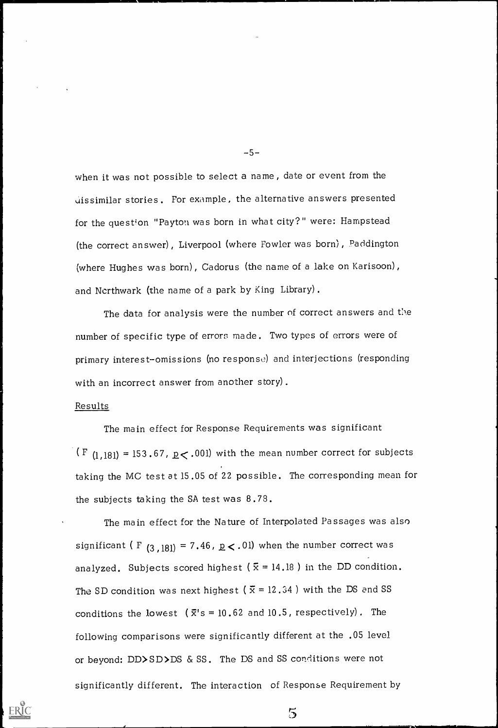when it was not possible to select a name, date or event from the uissimilar stories . For example, the alternative answers presented for the question "Payton was born in what city?" were: Hampstead (the correct answer), Liverpool (where Fowler was born), Paddington (where Hughes was born), Cadorus (the name of a lake on Karisoon), and Nerthwark (the name of a park by King Library).

The data for analysis were the number of correct answers and the number of specific type of errors made. Two types of errors were of primary interest-omissions (no response) and interjections (responding with an incorrect answer from another story).

The main effect for the Nature of Interpolated Passages was also significant ( F  $(3,181) = 7.46$ ,  $p < .01$ ) when the number correct was

 $-5-$ 

analyzed. Subjects scored highest ( $\bar{x} = 14.18$ ) in the DD condition.

The SD condition was next highest ( $\bar{x} = 12.34$ ) with the DS and SS

conditions the lowest  $(\bar{x}$ 's = 10.62 and 10.5, respectively). The

#### Results

The main effect for Response Requirements was significant (F  $(1,181) = 153.67$ ,  $p < .001$ ) with the mean number correct for subjects taking the MC test at 15.05 of 22 possible. The corresponding mean for the subjects taking the SA test was 8.78.

following comparisons were significantly different at the .05 level

or beyond: DD>SD>DS & SS. The DS and SS conditions were not

significantly different. The interaction of Response Requirement by

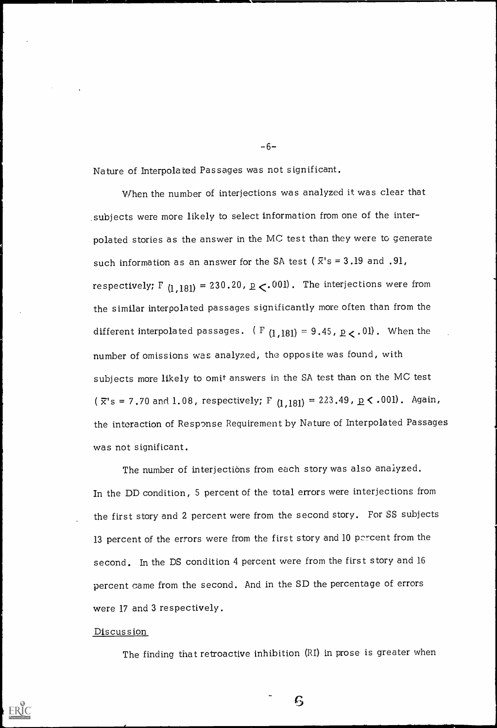Nature of Interpolated Passages was not significant.

When the number of interjections was analyzed it was clear that .subjects were more likely to select information from one of the interpolated stories as the answer in the MC test than they were to generate such information as an answer for the SA test ( $\bar{x}$ 's = 3.19 and .91, respectively; F  $_{(1,181)}$  = 230.20, p  $\lt$ .001). The interjections were from the similar interpolated passages significantly more often than from the different interpolated passages. ( F  $(1,181) = 9.45$ ,  $p < .01$ ). When the number of omissions was analyzed, the opposite was found, with subjects more likely to omit answers in the SA test than on the MC test ( $\bar{x}$ 's = 7.70 and 1.08, respectively; F (1,181) = 223.49,  $\underline{p}$  < .001). Again, the interaction of Response Requirement by Nature of Interpolated Passages was not significant.

The number of interjections from each story was also analyzed. In the DD condition, 5 percent of the total errors were interjections from the first story and 2 percent were from the second story. For SS subjects 13 percent of the errors were from the first story and 10 percent from the second. In the DS condition 4 percent were from the first story and 16

 $-6-$ 

percent came from the second. And in the SD the percentage of errors

were 17 and 3 respectively.

Discussion

The finding that retroactive inhibition (RI) in prose is greater when

S)

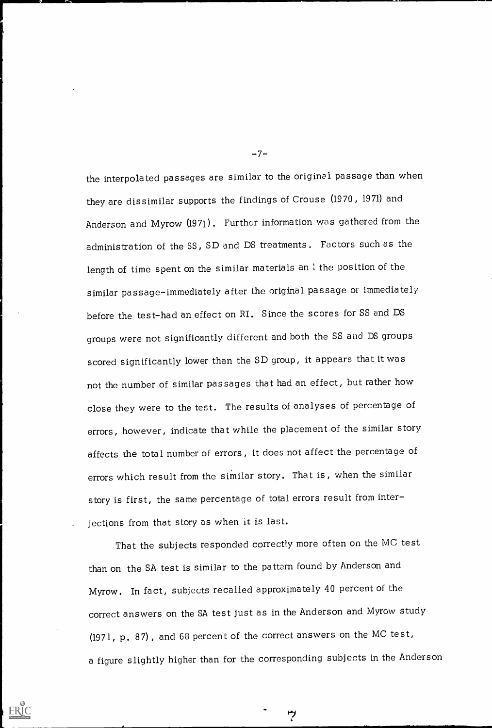the interpolated passages are similar to the original passage than when they are dissimilar supports the findings of Crouse (1970, 1971) and Anderson and Myrow (1971). Further information was gathered from the administration of the SS, SD and DS treatments. Factors such as the length of time spent on the similar materials an 1 the position of the similar passage-immediately after the original passage or immediately before the test-had an effect on RI. Since the scores for SS and DS groups were not significantly different and both the SS and DS groups scored significantly lower than the SD group, it appears that it was not the number of similar passages that had an effect, but rather how close they were to the test. The results of analyses of percentage of errors, however, indicate that while the placement of the similar story affects the total number of errors, it does not affect the percentage of errors which result from the similar story. That is, when the similar story is first, the same percentage of total errors result from inter- . jections from that story as when it is last.

That the subjects responded correctly more often on the MC test than on the SA test is similar to the pattern found by Anderson and

 $-7-$ 

Myrow. In fact, subjects recalled approximately 40 percent of the

correct answers on the SA test just as in the Anderson and Myrow study

(1971, p. 87), and 68 percent of the correct answers on the MC test,

a figure slightly higher than for the corresponding subjects in the Anderson

رم

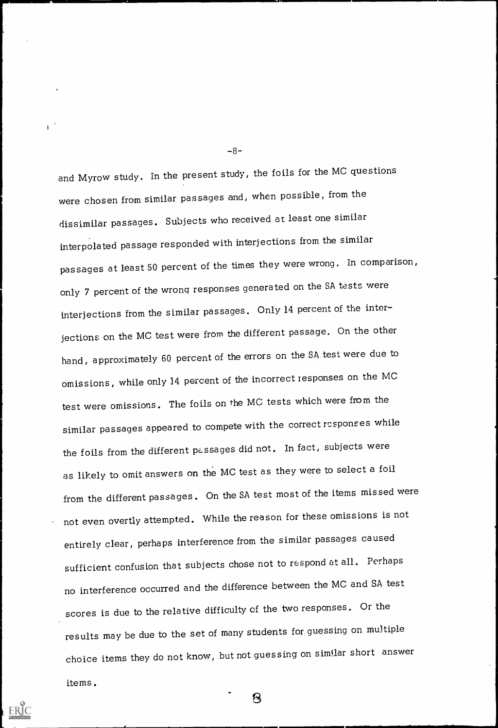-8-

and Myrow study. In the present study, the foils for the MC questions were chosen from similar passages and, when possible, from the dissimilar passages. Subjects who received at least one similar interpolated passage responded with interjections from the similar passages at least 50 percent of the times they were wrong. In comparison, only 7 percent of the wrong responses generated on the SA tests were interjections from the similar passages. Only 14 percent of the interjections on the MC test were from the different passage. On the other hand, approximately 60 percent of the errors on the SA test were due to omissions, while only 14 percent of the incorrect xesponses on the MC test were omissions. The foils on the MC tests which were from the similar passages appeared to compete with the correct responses while the foils from the different passages did not. In fact, subjects were as likely to omit answers on the MC test as they were to select a foil from the different passages. On the SA test most of the items missed were not even overtly attempted. While the reason for these omissions is not entirely clear, perhaps interference from the similar passages caused

sufficient confusion that subjects chose not to respond at all. Perhaps

no interference occurred and the difference between the MC and SA test

scores is due to the relative difficulty of the two responses. Or the

results may be due to the set of many students for guessing on multiple

choice items they do not know, but not guessing on similar short answer

 $\mathbf S$ 

items.

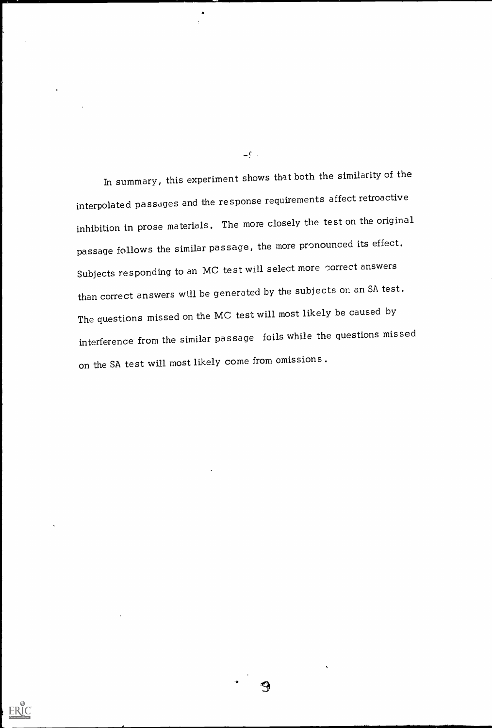In summary, this experiment shows that both the similarity of the interpolated passages and the response requirements affect retroactive inhibition in prose materials. The more closely the test on the original passage follows the similar passage, the more pronounced its effect. Subjects responding to an MC test will select more correct answers than correct answers will be generated by the subjects on an SA test. The questions missed on the MC test will most likely be caused by interference from the similar passage foils while the questions missed on the SA test will most likely come from omissions.

 $-c$ .

 $\bullet$ 



9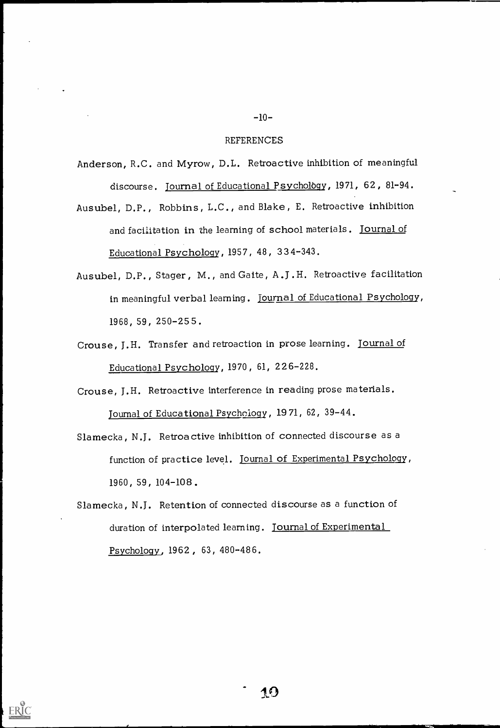#### -10-

Anderson, R.C. and Myrow, D.L. Retroactive inhibition of meaningful discourse. Journal of Educational Psychology, 1971, 62, 81-94.

- Ausubel, D.P., Robbins, L.C., and Blake, E. Retroactive inhibition and facilitation in the learning of school materials . Journal of Educational Psychology, 1957, 48, 334-343.
- Ausubel, D.P., Stager, M., and Gaite, A.J.H. Retroactive facilitation in meaningful verbal learning. journal of Educational Psychology, 1968, 59, 250-255.
- Crouse, J.H. Transfer and retroaction in prose learning. Journal of Educational Psychology, 1970, 61, 226-228.
- Crouse, J.H. Retroactive interference in reading prose materials. Journal of Educational Psychology, 1971, 62, 39-44.
- Slamecka , N.J. Retroactive inhibition of connected discourse as a function of practice level. Journal of Experimental Psycholggy, 1960, 59, 104-108.
- Slamecka, N.J. Retention of connected discourse as a function of duration of interpolated learning. Journal of Experimental Psychology, 1962, 63, 480-486.

#### REFERENCES